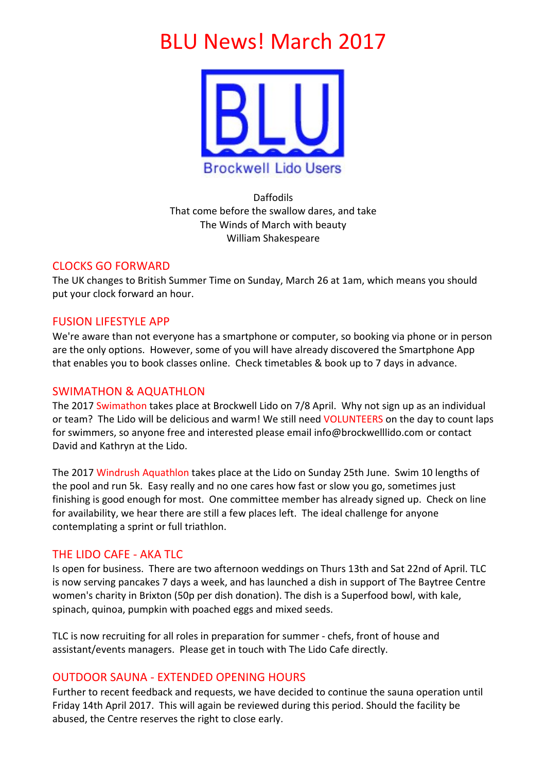# **BLU News! March 2017**



Daffodils That come before the swallow dares, and take The Winds of March with beauty William Shakespeare

# CLOCKS GO FORWARD

The UK changes to British Summer Time on Sunday, March 26 at 1am, which means you should put your clock forward an hour.

# **FUSION LIFESTYLE APP**

We're aware than not everyone has a smartphone or computer, so booking via phone or in person are the only options. However, some of you will have already discovered the Smartphone App that enables you to book classes online. Check timetables & book up to 7 days in advance.

# SWIMATHON & AQUATHLON

The 2017 Swimathon takes place at Brockwell Lido on 7/8 April. Why not sign up as an individual or team? The Lido will be delicious and warm! We still need VOLUNTEERS on the day to count laps for swimmers, so anyone free and interested please email info@brockwelllido.com or contact David and Kathryn at the Lido.

The 2017 Windrush Aquathlon takes place at the Lido on Sunday 25th June. Swim 10 lengths of the pool and run 5k. Easy really and no one cares how fast or slow you go, sometimes just finishing is good enough for most. One committee member has already signed up. Check on line for availability, we hear there are still a few places left. The ideal challenge for anyone contemplating a sprint or full triathlon.

# THE LIDO CAFE - AKA TLC

Is open for business. There are two afternoon weddings on Thurs 13th and Sat 22nd of April. TLC is now serving pancakes 7 days a week, and has launched a dish in support of The Baytree Centre women's charity in Brixton (50p per dish donation). The dish is a Superfood bowl, with kale, spinach, quinoa, pumpkin with poached eggs and mixed seeds.

TLC is now recruiting for all roles in preparation for summer - chefs, front of house and assistant/events managers. Please get in touch with The Lido Cafe directly.

## OUTDOOR SAUNA - EXTENDED OPENING HOURS

Further to recent feedback and requests, we have decided to continue the sauna operation until Friday 14th April 2017. This will again be reviewed during this period. Should the facility be abused, the Centre reserves the right to close early.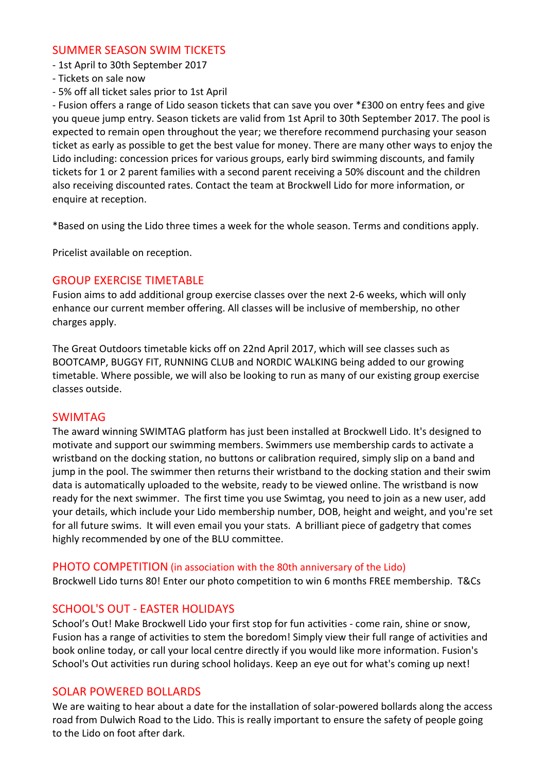#### SUMMER SEASON SWIM TICKETS

- 1st April to 30th September 2017
- Tickets on sale now
- 5% off all ticket sales prior to 1st April

- Fusion offers a range of Lido season tickets that can save you over \*£300 on entry fees and give you queue jump entry. Season tickets are valid from 1st April to 30th September 2017. The pool is expected to remain open throughout the year; we therefore recommend purchasing your season ticket as early as possible to get the best value for money. There are many other ways to enjoy the Lido including: concession prices for various groups, early bird swimming discounts, and family tickets for 1 or 2 parent families with a second parent receiving a 50% discount and the children also receiving discounted rates. Contact the team at Brockwell Lido for more information, or enquire at reception.

\*Based on using the Lido three times a week for the whole season. Terms and conditions apply.

Pricelist available on reception.

# **GROUP EXERCISE TIMETABLE**

Fusion aims to add additional group exercise classes over the next 2-6 weeks, which will only enhance our current member offering. All classes will be inclusive of membership, no other charges apply.

The Great Outdoors timetable kicks off on 22nd April 2017, which will see classes such as BOOTCAMP, BUGGY FIT, RUNNING CLUB and NORDIC WALKING being added to our growing timetable. Where possible, we will also be looking to run as many of our existing group exercise classes outside.

## SWIMTAG

The award winning SWIMTAG platform has just been installed at Brockwell Lido. It's designed to motivate and support our swimming members. Swimmers use membership cards to activate a wristband on the docking station, no buttons or calibration required, simply slip on a band and jump in the pool. The swimmer then returns their wristband to the docking station and their swim data is automatically uploaded to the website, ready to be viewed online. The wristband is now ready for the next swimmer. The first time you use Swimtag, you need to join as a new user, add your details, which include your Lido membership number, DOB, height and weight, and you're set for all future swims. It will even email you your stats. A brilliant piece of gadgetry that comes highly recommended by one of the BLU committee.

#### PHOTO COMPETITION (in association with the 80th anniversary of the Lido)

Brockwell Lido turns 80! Enter our photo competition to win 6 months FREE membership. T&Cs

# SCHOOL'S OUT - FASTER HOLIDAYS

School's Out! Make Brockwell Lido your first stop for fun activities - come rain, shine or snow, Fusion has a range of activities to stem the boredom! Simply view their full range of activities and book online today, or call your local centre directly if you would like more information. Fusion's School's Out activities run during school holidays. Keep an eye out for what's coming up next!

## SOLAR POWERED BOLLARDS

We are waiting to hear about a date for the installation of solar-powered bollards along the access road from Dulwich Road to the Lido. This is really important to ensure the safety of people going to the Lido on foot after dark.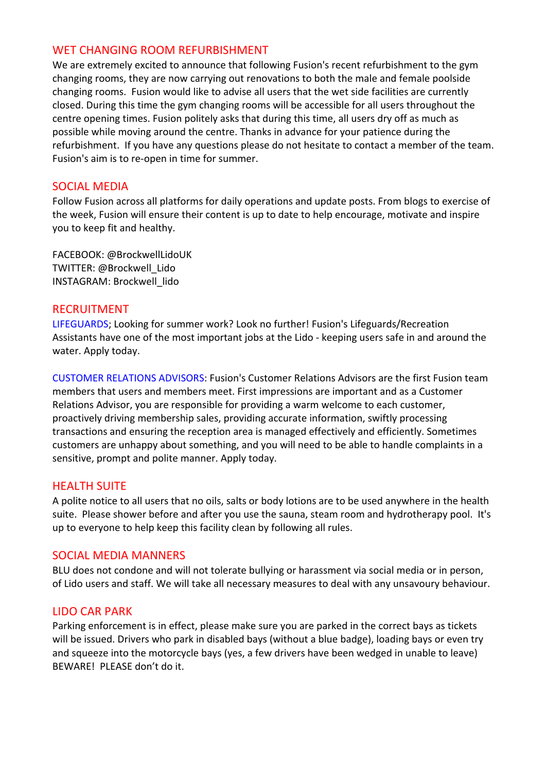## WET CHANGING ROOM REFURBISHMENT

We are extremely excited to announce that following Fusion's recent refurbishment to the gym changing rooms, they are now carrying out renovations to both the male and female poolside changing rooms. Fusion would like to advise all users that the wet side facilities are currently closed. During this time the gym changing rooms will be accessible for all users throughout the centre opening times. Fusion politely asks that during this time, all users dry off as much as possible while moving around the centre. Thanks in advance for your patience during the refurbishment. If you have any questions please do not hesitate to contact a member of the team. Fusion's aim is to re-open in time for summer.

#### SOCIAL MEDIA

Follow Fusion across all platforms for daily operations and update posts. From blogs to exercise of the week, Fusion will ensure their content is up to date to help encourage, motivate and inspire you to keep fit and healthy.

FACEBOOK: @BrockwellLidoUK TWITTER: @Brockwell\_Lido INSTAGRAM: Brockwell\_lido

#### RECRUITMENT

LIFEGUARDS; Looking for summer work? Look no further! Fusion's Lifeguards/Recreation Assistants have one of the most important jobs at the Lido - keeping users safe in and around the water. Apply today.

CUSTOMER RELATIONS ADVISORS: Fusion's Customer Relations Advisors are the first Fusion team members that users and members meet. First impressions are important and as a Customer Relations Advisor, you are responsible for providing a warm welcome to each customer, proactively driving membership sales, providing accurate information, swiftly processing transactions and ensuring the reception area is managed effectively and efficiently. Sometimes customers are unhappy about something, and you will need to be able to handle complaints in a sensitive, prompt and polite manner. Apply today.

## **HEALTH SUITE**

A polite notice to all users that no oils, salts or body lotions are to be used anywhere in the health suite. Please shower before and after you use the sauna, steam room and hydrotherapy pool. It's up to everyone to help keep this facility clean by following all rules.

## SOCIAL MEDIA MANNERS

BLU does not condone and will not tolerate bullying or harassment via social media or in person, of Lido users and staff. We will take all necessary measures to deal with any unsavoury behaviour.

## LIDO CAR PARK

Parking enforcement is in effect, please make sure you are parked in the correct bays as tickets will be issued. Drivers who park in disabled bays (without a blue badge), loading bays or even try and squeeze into the motorcycle bays (yes, a few drivers have been wedged in unable to leave) BEWARE! PLEASE don't do it.